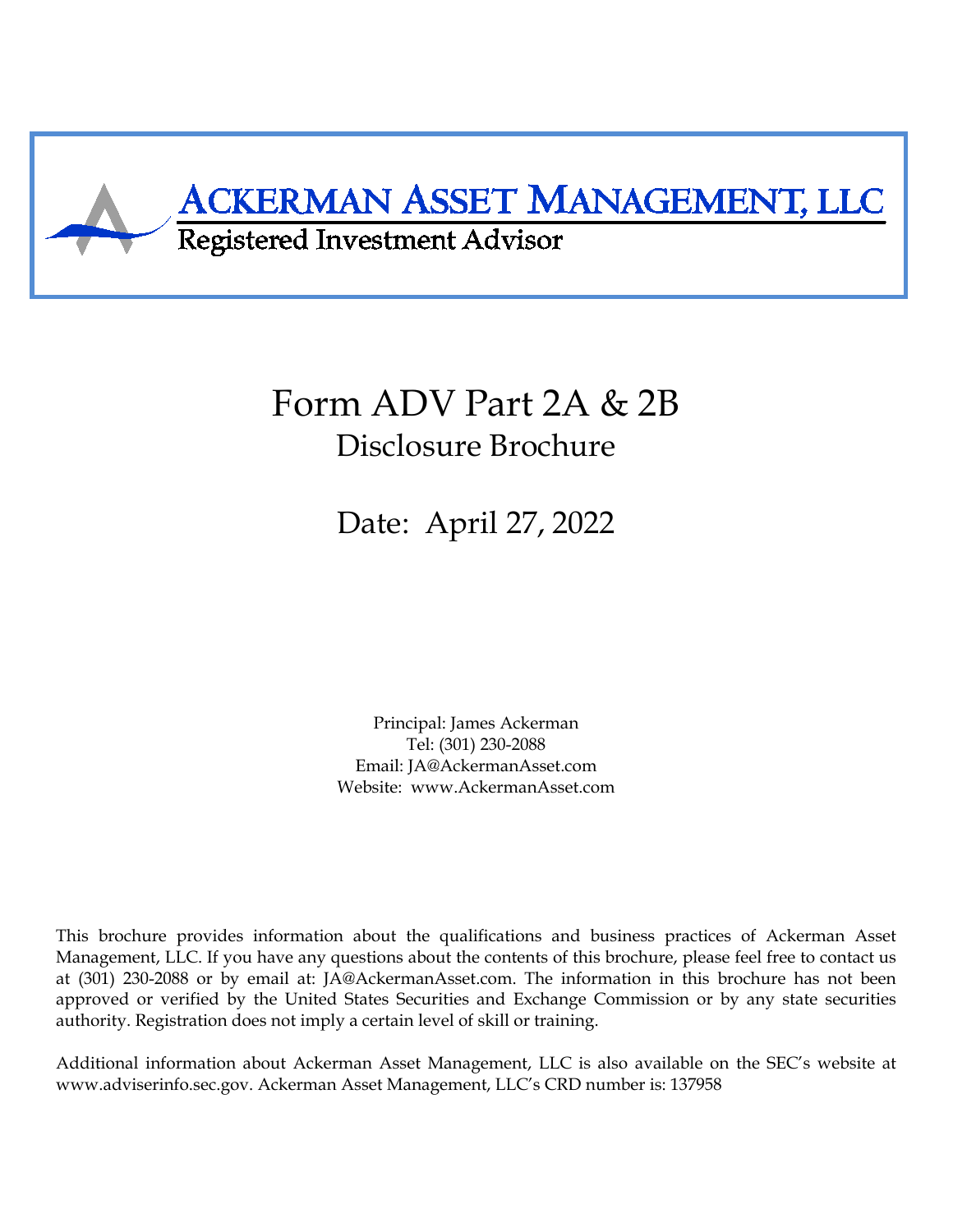<span id="page-0-0"></span>

# Form ADV Part 2A & 2B Disclosure Brochure

Date: April 27, 2022

Principal: James Ackerman Tel: (301) 230-2088 Email: JA@AckermanAsset.com Website: www.AckermanAsset.com

This brochure provides information about the qualifications and business practices of Ackerman Asset Management, LLC. If you have any questions about the contents of this brochure, please feel free to contact us at (301) 230-2088 or by email at: JA@AckermanAsset.com. The information in this brochure has not been approved or verified by the United States Securities and Exchange Commission or by any state securities authority. Registration does not imply a certain level of skill or training.

Additional information about Ackerman Asset Management, LLC is also available on the SEC's website at www.adviserinfo.sec.gov. Ackerman Asset Management, LLC's CRD number is: 137958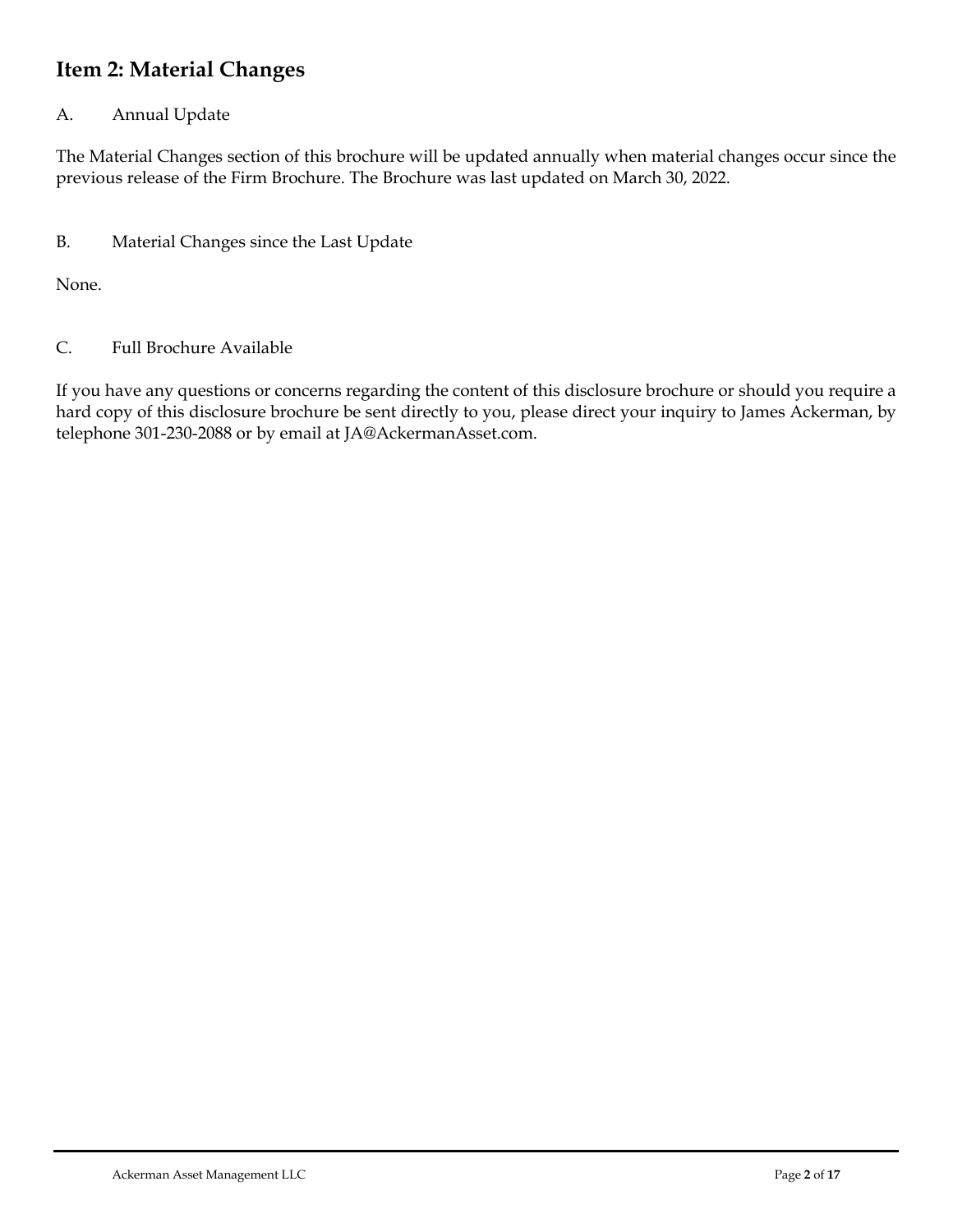# <span id="page-1-0"></span>**Item 2: Material Changes**

## A. Annual Update

The Material Changes section of this brochure will be updated annually when material changes occur since the previous release of the Firm Brochure. The Brochure was last updated on March 30, 2022.

B. Material Changes since the Last Update

None.

C. Full Brochure Available

If you have any questions or concerns regarding the content of this disclosure brochure or should you require a hard copy of this disclosure brochure be sent directly to you, please direct your inquiry to James Ackerman, by telephone 301-230-2088 or by email at JA@AckermanAsset.com.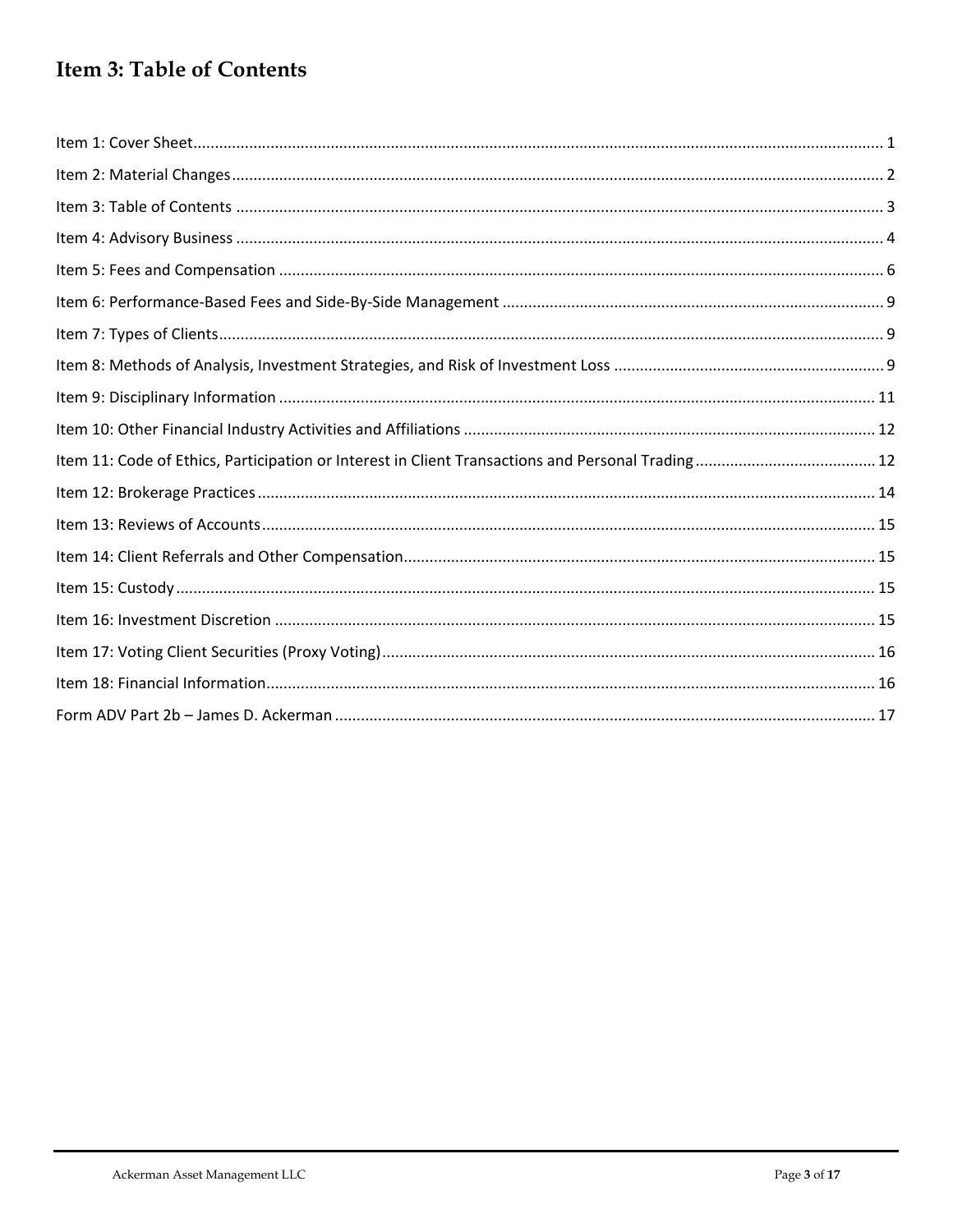# <span id="page-2-0"></span>Item 3: Table of Contents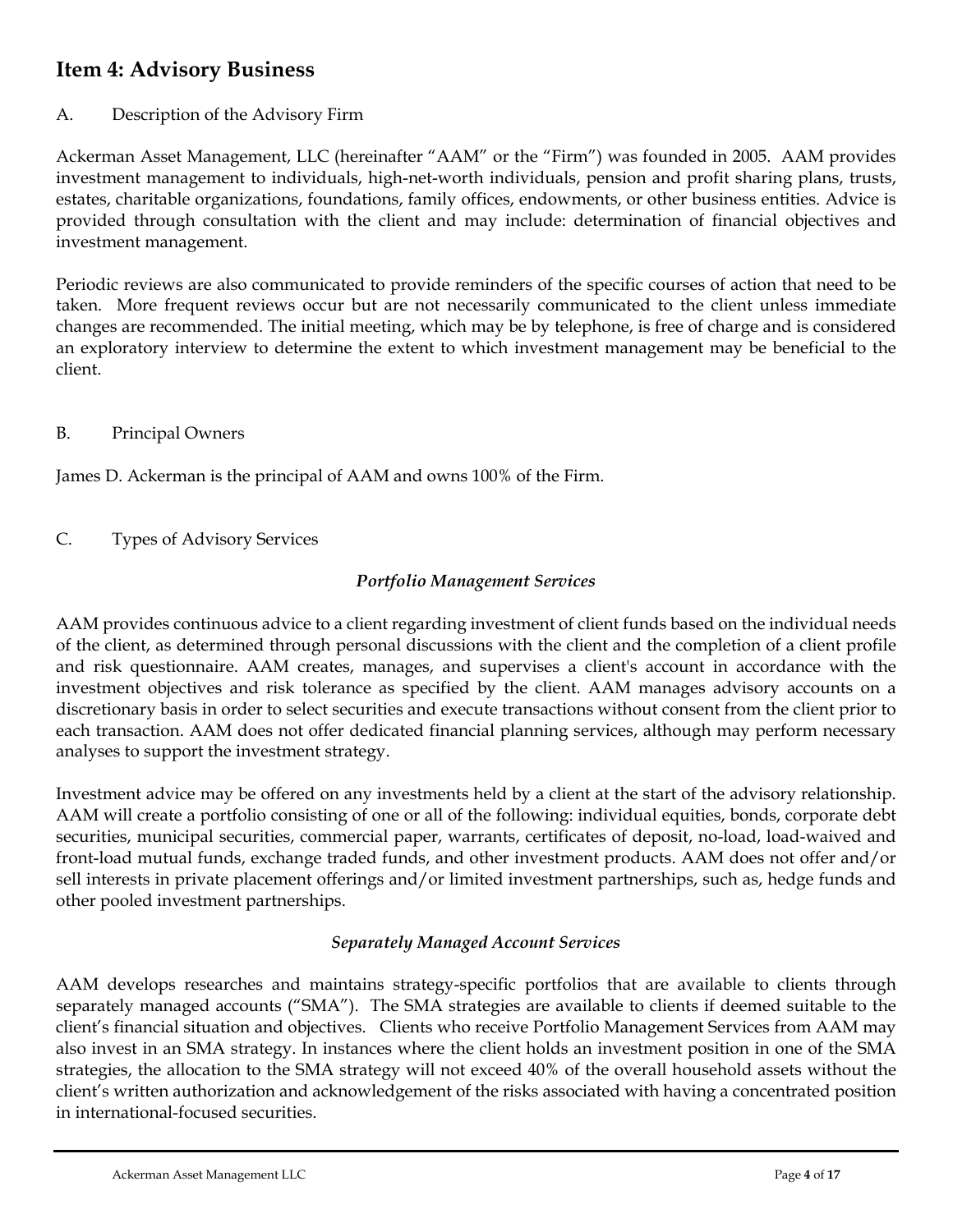# <span id="page-3-0"></span>**Item 4: Advisory Business**

## A. Description of the Advisory Firm

Ackerman Asset Management, LLC (hereinafter "AAM" or the "Firm") was founded in 2005. AAM provides investment management to individuals, high-net-worth individuals, pension and profit sharing plans, trusts, estates, charitable organizations, foundations, family offices, endowments, or other business entities. Advice is provided through consultation with the client and may include: determination of financial objectives and investment management.

Periodic reviews are also communicated to provide reminders of the specific courses of action that need to be taken. More frequent reviews occur but are not necessarily communicated to the client unless immediate changes are recommended. The initial meeting, which may be by telephone, is free of charge and is considered an exploratory interview to determine the extent to which investment management may be beneficial to the client.

B. Principal Owners

James D. Ackerman is the principal of AAM and owns 100% of the Firm.

C. Types of Advisory Services

## *Portfolio Management Services*

AAM provides continuous advice to a client regarding investment of client funds based on the individual needs of the client, as determined through personal discussions with the client and the completion of a client profile and risk questionnaire. AAM creates, manages, and supervises a client's account in accordance with the investment objectives and risk tolerance as specified by the client. AAM manages advisory accounts on a discretionary basis in order to select securities and execute transactions without consent from the client prior to each transaction. AAM does not offer dedicated financial planning services, although may perform necessary analyses to support the investment strategy.

Investment advice may be offered on any investments held by a client at the start of the advisory relationship. AAM will create a portfolio consisting of one or all of the following: individual equities, bonds, corporate debt securities, municipal securities, commercial paper, warrants, certificates of deposit, no-load, load-waived and front-load mutual funds, exchange traded funds, and other investment products. AAM does not offer and/or sell interests in private placement offerings and/or limited investment partnerships, such as, hedge funds and other pooled investment partnerships.

#### *Separately Managed Account Services*

AAM develops researches and maintains strategy-specific portfolios that are available to clients through separately managed accounts ("SMA"). The SMA strategies are available to clients if deemed suitable to the client's financial situation and objectives. Clients who receive Portfolio Management Services from AAM may also invest in an SMA strategy. In instances where the client holds an investment position in one of the SMA strategies, the allocation to the SMA strategy will not exceed 40% of the overall household assets without the client's written authorization and acknowledgement of the risks associated with having a concentrated position in international-focused securities.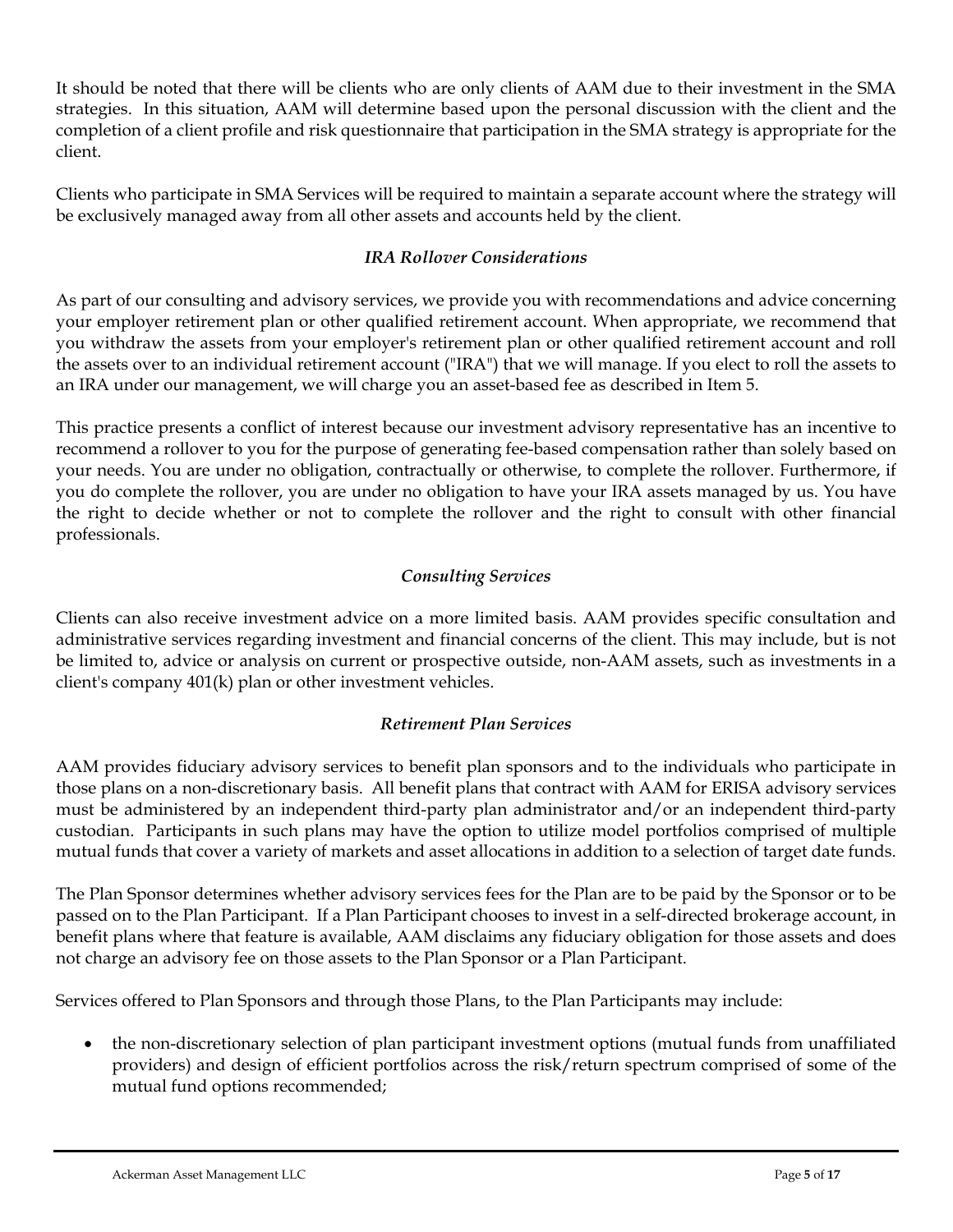It should be noted that there will be clients who are only clients of AAM due to their investment in the SMA strategies. In this situation, AAM will determine based upon the personal discussion with the client and the completion of a client profile and risk questionnaire that participation in the SMA strategy is appropriate for the client.

Clients who participate in SMA Services will be required to maintain a separate account where the strategy will be exclusively managed away from all other assets and accounts held by the client.

## *IRA Rollover Considerations*

As part of our consulting and advisory services, we provide you with recommendations and advice concerning your employer retirement plan or other qualified retirement account. When appropriate, we recommend that you withdraw the assets from your employer's retirement plan or other qualified retirement account and roll the assets over to an individual retirement account ("IRA") that we will manage. If you elect to roll the assets to an IRA under our management, we will charge you an asset-based fee as described in Item 5.

This practice presents a conflict of interest because our investment advisory representative has an incentive to recommend a rollover to you for the purpose of generating fee-based compensation rather than solely based on your needs. You are under no obligation, contractually or otherwise, to complete the rollover. Furthermore, if you do complete the rollover, you are under no obligation to have your IRA assets managed by us. You have the right to decide whether or not to complete the rollover and the right to consult with other financial professionals.

## *Consulting Services*

Clients can also receive investment advice on a more limited basis. AAM provides specific consultation and administrative services regarding investment and financial concerns of the client. This may include, but is not be limited to, advice or analysis on current or prospective outside, non-AAM assets, such as investments in a client's company 401(k) plan or other investment vehicles.

## *Retirement Plan Services*

AAM provides fiduciary advisory services to benefit plan sponsors and to the individuals who participate in those plans on a non-discretionary basis. All benefit plans that contract with AAM for ERISA advisory services must be administered by an independent third-party plan administrator and/or an independent third-party custodian. Participants in such plans may have the option to utilize model portfolios comprised of multiple mutual funds that cover a variety of markets and asset allocations in addition to a selection of target date funds.

The Plan Sponsor determines whether advisory services fees for the Plan are to be paid by the Sponsor or to be passed on to the Plan Participant. If a Plan Participant chooses to invest in a self-directed brokerage account, in benefit plans where that feature is available, AAM disclaims any fiduciary obligation for those assets and does not charge an advisory fee on those assets to the Plan Sponsor or a Plan Participant.

Services offered to Plan Sponsors and through those Plans, to the Plan Participants may include:

• the non-discretionary selection of plan participant investment options (mutual funds from unaffiliated providers) and design of efficient portfolios across the risk/return spectrum comprised of some of the mutual fund options recommended;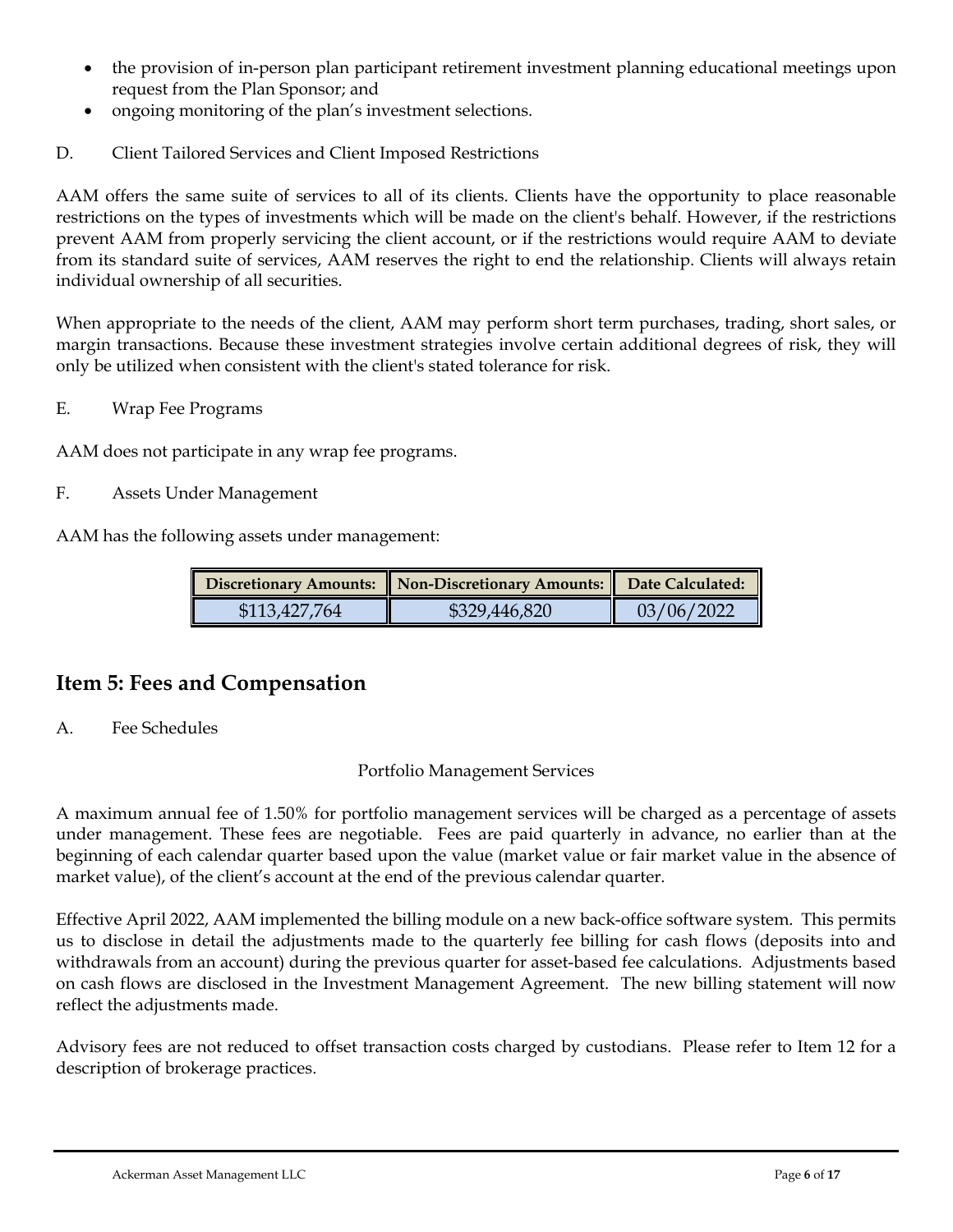- the provision of in-person plan participant retirement investment planning educational meetings upon request from the Plan Sponsor; and
- ongoing monitoring of the plan's investment selections.
- D. Client Tailored Services and Client Imposed Restrictions

AAM offers the same suite of services to all of its clients. Clients have the opportunity to place reasonable restrictions on the types of investments which will be made on the client's behalf. However, if the restrictions prevent AAM from properly servicing the client account, or if the restrictions would require AAM to deviate from its standard suite of services, AAM reserves the right to end the relationship. Clients will always retain individual ownership of all securities.

When appropriate to the needs of the client, AAM may perform short term purchases, trading, short sales, or margin transactions. Because these investment strategies involve certain additional degrees of risk, they will only be utilized when consistent with the client's stated tolerance for risk.

E. Wrap Fee Programs

AAM does not participate in any wrap fee programs.

F. Assets Under Management

AAM has the following assets under management:

|               | Discretionary Amounts: Non-Discretionary Amounts: Date Calculated: |            |
|---------------|--------------------------------------------------------------------|------------|
| \$113,427,764 | \$329,446,820                                                      | 03/06/2022 |

## <span id="page-5-0"></span>**Item 5: Fees and Compensation**

A. Fee Schedules

#### Portfolio Management Services

A maximum annual fee of 1.50% for portfolio management services will be charged as a percentage of assets under management. These fees are negotiable. Fees are paid quarterly in advance, no earlier than at the beginning of each calendar quarter based upon the value (market value or fair market value in the absence of market value), of the client's account at the end of the previous calendar quarter.

Effective April 2022, AAM implemented the billing module on a new back-office software system. This permits us to disclose in detail the adjustments made to the quarterly fee billing for cash flows (deposits into and withdrawals from an account) during the previous quarter for asset-based fee calculations. Adjustments based on cash flows are disclosed in the Investment Management Agreement. The new billing statement will now reflect the adjustments made.

Advisory fees are not reduced to offset transaction costs charged by custodians. Please refer to Item 12 for a description of brokerage practices.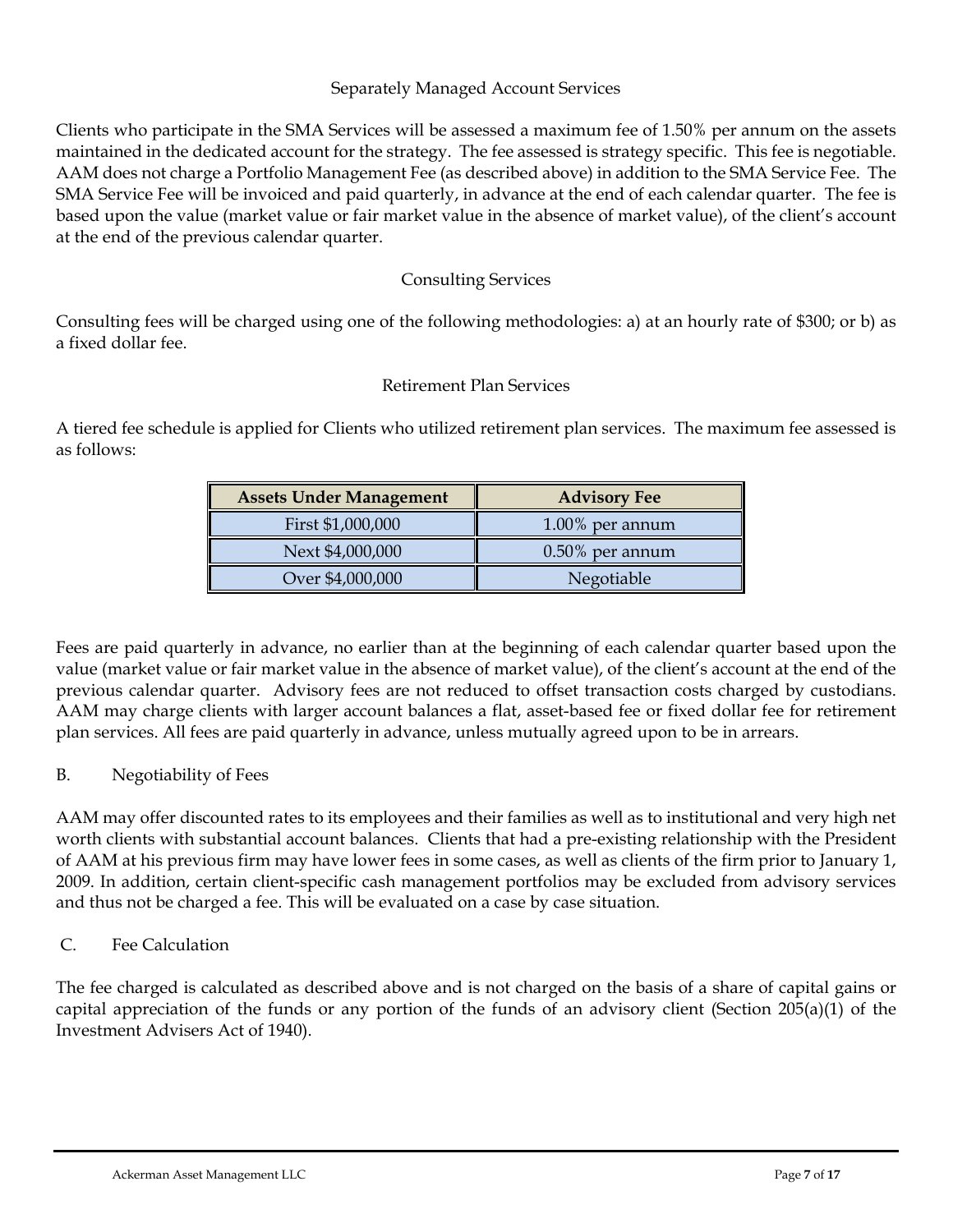#### Separately Managed Account Services

Clients who participate in the SMA Services will be assessed a maximum fee of 1.50% per annum on the assets maintained in the dedicated account for the strategy. The fee assessed is strategy specific. This fee is negotiable. AAM does not charge a Portfolio Management Fee (as described above) in addition to the SMA Service Fee. The SMA Service Fee will be invoiced and paid quarterly, in advance at the end of each calendar quarter. The fee is based upon the value (market value or fair market value in the absence of market value), of the client's account at the end of the previous calendar quarter.

## Consulting Services

Consulting fees will be charged using one of the following methodologies: a) at an hourly rate of \$300; or b) as a fixed dollar fee.

## Retirement Plan Services

A tiered fee schedule is applied for Clients who utilized retirement plan services. The maximum fee assessed is as follows:

| <b>Assets Under Management</b> | <b>Advisory Fee</b> |
|--------------------------------|---------------------|
| First \$1,000,000              | $1.00\%$ per annum  |
| Next \$4,000,000               | $0.50\%$ per annum  |
| Over \$4,000,000               | Negotiable          |

Fees are paid quarterly in advance, no earlier than at the beginning of each calendar quarter based upon the value (market value or fair market value in the absence of market value), of the client's account at the end of the previous calendar quarter. Advisory fees are not reduced to offset transaction costs charged by custodians. AAM may charge clients with larger account balances a flat, asset-based fee or fixed dollar fee for retirement plan services. All fees are paid quarterly in advance, unless mutually agreed upon to be in arrears.

#### B. Negotiability of Fees

AAM may offer discounted rates to its employees and their families as well as to institutional and very high net worth clients with substantial account balances. Clients that had a pre-existing relationship with the President of AAM at his previous firm may have lower fees in some cases, as well as clients of the firm prior to January 1, 2009. In addition, certain client-specific cash management portfolios may be excluded from advisory services and thus not be charged a fee. This will be evaluated on a case by case situation.

#### C. Fee Calculation

The fee charged is calculated as described above and is not charged on the basis of a share of capital gains or capital appreciation of the funds or any portion of the funds of an advisory client (Section 205(a)(1) of the Investment Advisers Act of 1940).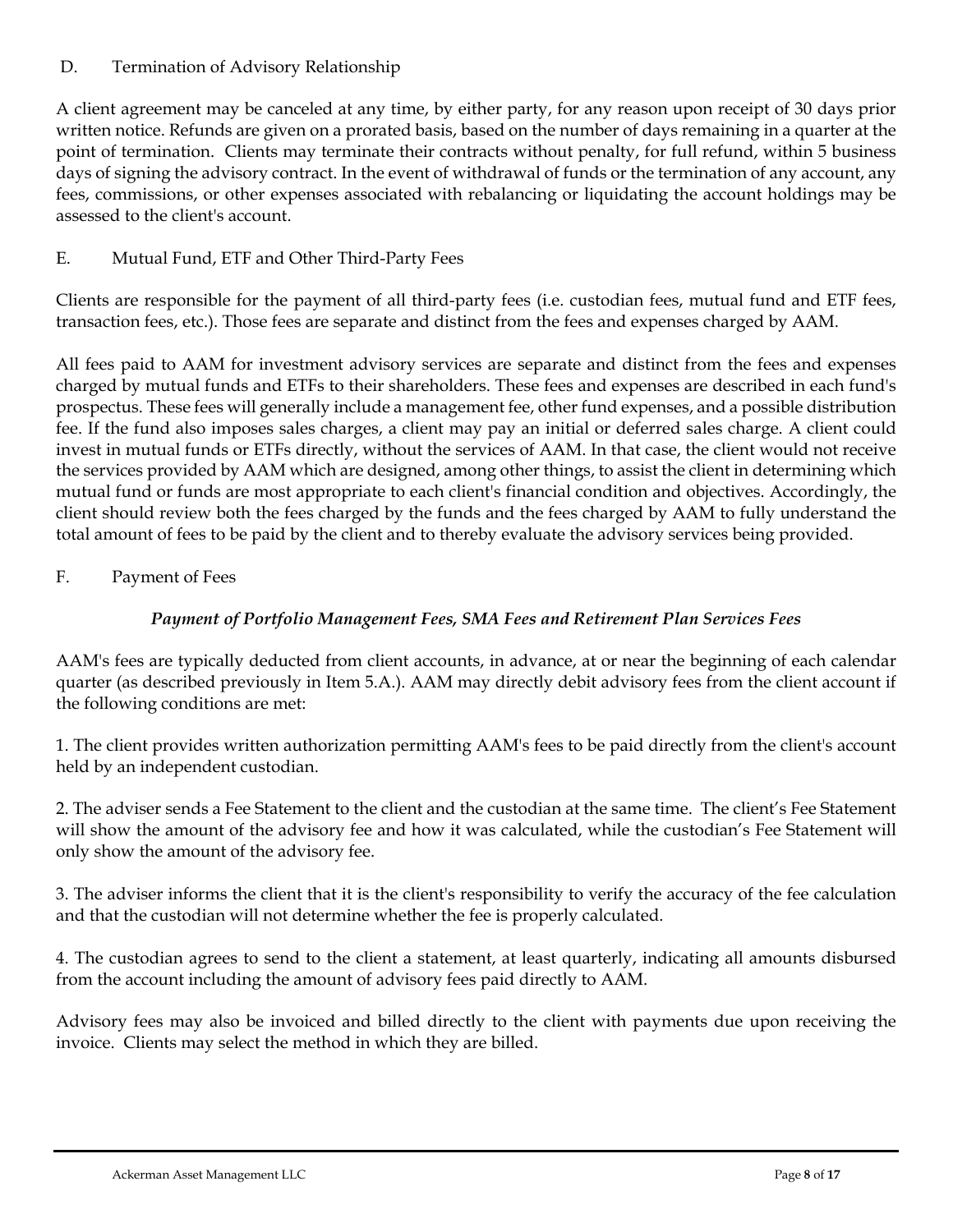## D. Termination of Advisory Relationship

A client agreement may be canceled at any time, by either party, for any reason upon receipt of 30 days prior written notice. Refunds are given on a prorated basis, based on the number of days remaining in a quarter at the point of termination. Clients may terminate their contracts without penalty, for full refund, within 5 business days of signing the advisory contract. In the event of withdrawal of funds or the termination of any account, any fees, commissions, or other expenses associated with rebalancing or liquidating the account holdings may be assessed to the client's account.

## E. Mutual Fund, ETF and Other Third-Party Fees

Clients are responsible for the payment of all third-party fees (i.e. custodian fees, mutual fund and ETF fees, transaction fees, etc.). Those fees are separate and distinct from the fees and expenses charged by AAM.

All fees paid to AAM for investment advisory services are separate and distinct from the fees and expenses charged by mutual funds and ETFs to their shareholders. These fees and expenses are described in each fund's prospectus. These fees will generally include a management fee, other fund expenses, and a possible distribution fee. If the fund also imposes sales charges, a client may pay an initial or deferred sales charge. A client could invest in mutual funds or ETFs directly, without the services of AAM. In that case, the client would not receive the services provided by AAM which are designed, among other things, to assist the client in determining which mutual fund or funds are most appropriate to each client's financial condition and objectives. Accordingly, the client should review both the fees charged by the funds and the fees charged by AAM to fully understand the total amount of fees to be paid by the client and to thereby evaluate the advisory services being provided.

## F. Payment of Fees

## *Payment of Portfolio Management Fees, SMA Fees and Retirement Plan Services Fees*

AAM's fees are typically deducted from client accounts, in advance, at or near the beginning of each calendar quarter (as described previously in Item 5.A.). AAM may directly debit advisory fees from the client account if the following conditions are met:

1. The client provides written authorization permitting AAM's fees to be paid directly from the client's account held by an independent custodian.

2. The adviser sends a Fee Statement to the client and the custodian at the same time. The client's Fee Statement will show the amount of the advisory fee and how it was calculated, while the custodian's Fee Statement will only show the amount of the advisory fee.

3. The adviser informs the client that it is the client's responsibility to verify the accuracy of the fee calculation and that the custodian will not determine whether the fee is properly calculated.

4. The custodian agrees to send to the client a statement, at least quarterly, indicating all amounts disbursed from the account including the amount of advisory fees paid directly to AAM.

Advisory fees may also be invoiced and billed directly to the client with payments due upon receiving the invoice. Clients may select the method in which they are billed.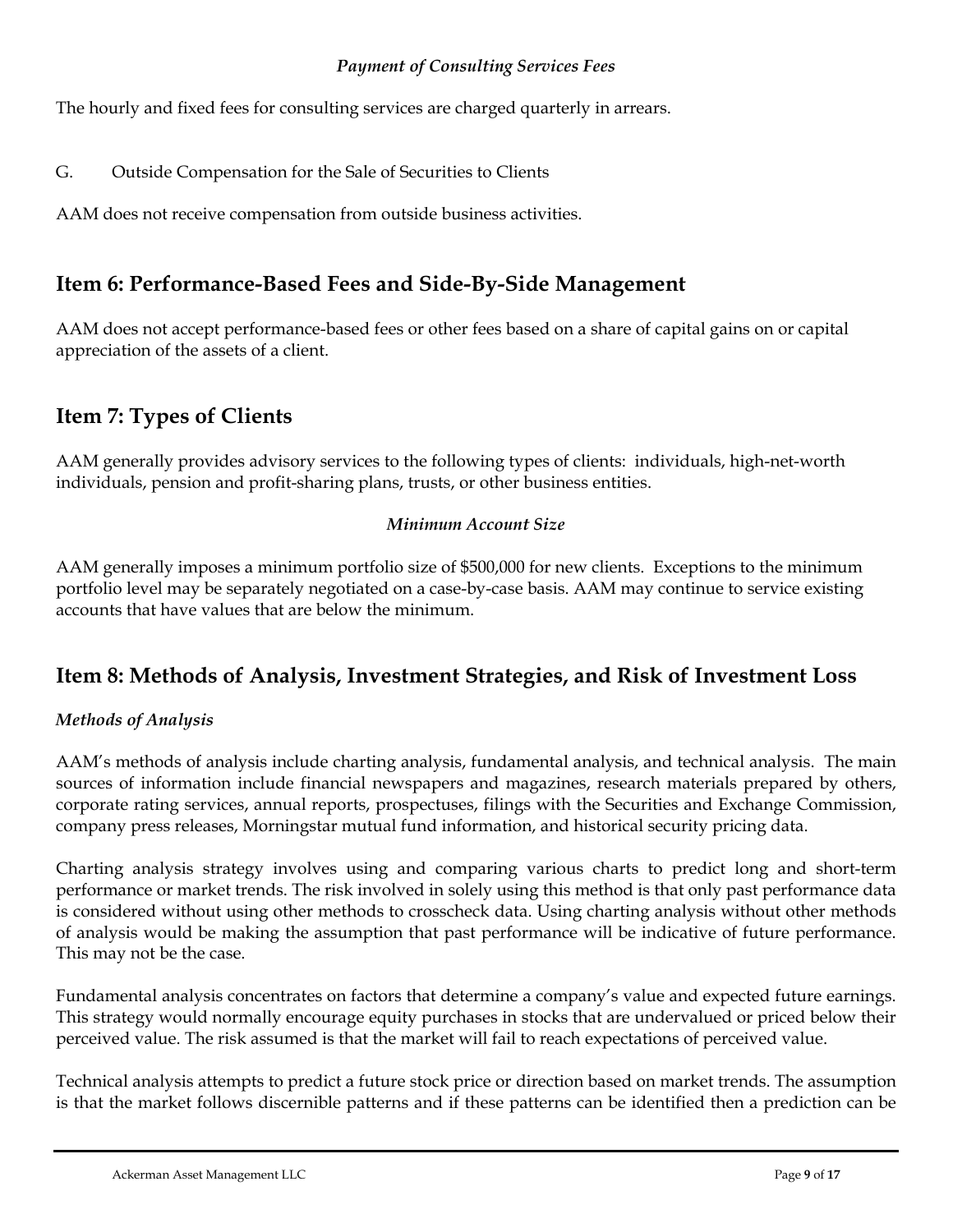#### *Payment of Consulting Services Fees*

The hourly and fixed fees for consulting services are charged quarterly in arrears.

G. Outside Compensation for the Sale of Securities to Clients

AAM does not receive compensation from outside business activities.

## <span id="page-8-0"></span>**Item 6: Performance-Based Fees and Side-By-Side Management**

AAM does not accept performance-based fees or other fees based on a share of capital gains on or capital appreciation of the assets of a client.

## <span id="page-8-1"></span>**Item 7: Types of Clients**

AAM generally provides advisory services to the following types of clients: individuals, high-net-worth individuals, pension and profit-sharing plans, trusts, or other business entities.

#### *Minimum Account Size*

AAM generally imposes a minimum portfolio size of \$500,000 for new clients. Exceptions to the minimum portfolio level may be separately negotiated on a case-by-case basis. AAM may continue to service existing accounts that have values that are below the minimum.

## <span id="page-8-2"></span>**Item 8: Methods of Analysis, Investment Strategies, and Risk of Investment Loss**

#### *Methods of Analysis*

AAM's methods of analysis include charting analysis, fundamental analysis, and technical analysis. The main sources of information include financial newspapers and magazines, research materials prepared by others, corporate rating services, annual reports, prospectuses, filings with the Securities and Exchange Commission, company press releases, Morningstar mutual fund information, and historical security pricing data.

Charting analysis strategy involves using and comparing various charts to predict long and short-term performance or market trends. The risk involved in solely using this method is that only past performance data is considered without using other methods to crosscheck data. Using charting analysis without other methods of analysis would be making the assumption that past performance will be indicative of future performance. This may not be the case.

Fundamental analysis concentrates on factors that determine a company's value and expected future earnings. This strategy would normally encourage equity purchases in stocks that are undervalued or priced below their perceived value. The risk assumed is that the market will fail to reach expectations of perceived value.

Technical analysis attempts to predict a future stock price or direction based on market trends. The assumption is that the market follows discernible patterns and if these patterns can be identified then a prediction can be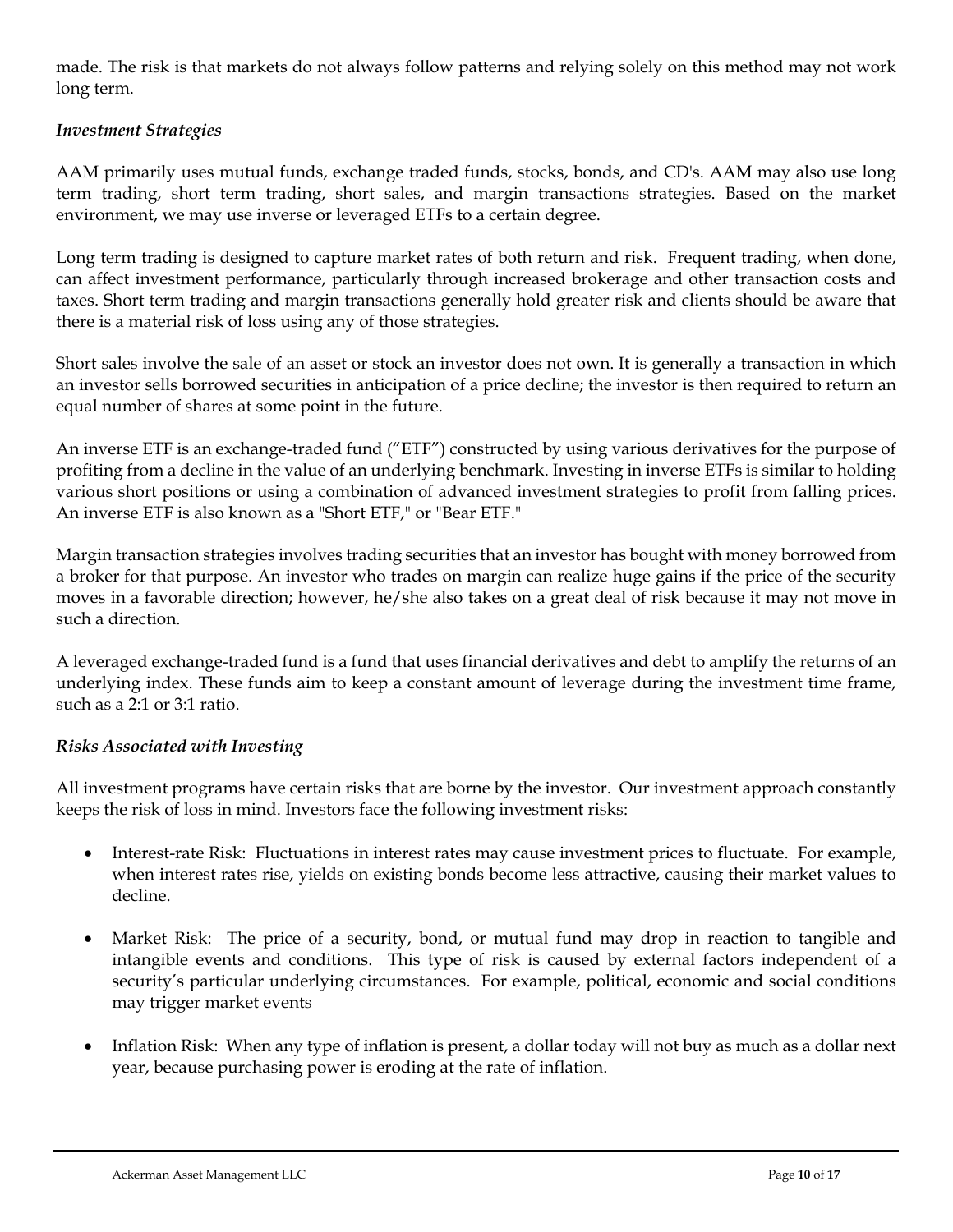made. The risk is that markets do not always follow patterns and relying solely on this method may not work long term.

#### *Investment Strategies*

AAM primarily uses mutual funds, exchange traded funds, stocks, bonds, and CD's. AAM may also use long term trading, short term trading, short sales, and margin transactions strategies. Based on the market environment, we may use inverse or leveraged ETFs to a certain degree.

Long term trading is designed to capture market rates of both return and risk. Frequent trading, when done, can affect investment performance, particularly through increased brokerage and other transaction costs and taxes. Short term trading and margin transactions generally hold greater risk and clients should be aware that there is a material risk of loss using any of those strategies.

Short sales involve the sale of an asset or stock an investor does not own. It is generally a transaction in which an investor sells borrowed securities in anticipation of a price decline; the investor is then required to return an equal number of shares at some point in the future.

An inverse ETF is an exchange-traded fund ("ETF") constructed by using various derivatives for the purpose of profiting from a decline in the value of an underlying benchmark. Investing in inverse ETFs is similar to holding various short positions or using a combination of advanced investment strategies to profit from falling prices. An inverse ETF is also known as a "Short ETF," or "Bear ETF."

Margin transaction strategies involve[s trading](https://financial-dictionary.thefreedictionary.com/Trading) [securities](https://financial-dictionary.thefreedictionary.com/Securities) that an [investor](https://financial-dictionary.thefreedictionary.com/investor) ha[s bought](https://financial-dictionary.thefreedictionary.com/buy) wit[h money](https://financial-dictionary.thefreedictionary.com/money) [borrowed](https://financial-dictionary.thefreedictionary.com/Borrow) from a [broker](https://financial-dictionary.thefreedictionary.com/broker) for that purpose. An investor who trades on margin can realize huge [gains](https://financial-dictionary.thefreedictionary.com/Gain) if the [price](https://financial-dictionary.thefreedictionary.com/price) of the security moves in a favorable direction; however, he/she also takes on a great deal of risk because it may not move in such a direction.

A leveraged [exchange-traded fund](https://www.investopedia.com/terms/e/etf.asp) is a fund that uses [financial derivatives](https://www.investopedia.com/video/play/derivative/) and debt to amplify the returns of an underlying index. These funds aim to keep a constant amount of leverage during the investment time frame, such as a 2:1 or 3:1 ratio.

#### *Risks Associated with Investing*

All investment programs have certain risks that are borne by the investor. Our investment approach constantly keeps the risk of loss in mind. Investors face the following investment risks:

- Interest-rate Risk: Fluctuations in interest rates may cause investment prices to fluctuate. For example, when interest rates rise, yields on existing bonds become less attractive, causing their market values to decline.
- Market Risk: The price of a security, bond, or mutual fund may drop in reaction to tangible and intangible events and conditions. This type of risk is caused by external factors independent of a security's particular underlying circumstances. For example, political, economic and social conditions may trigger market events
- Inflation Risk: When any type of inflation is present, a dollar today will not buy as much as a dollar next year, because purchasing power is eroding at the rate of inflation.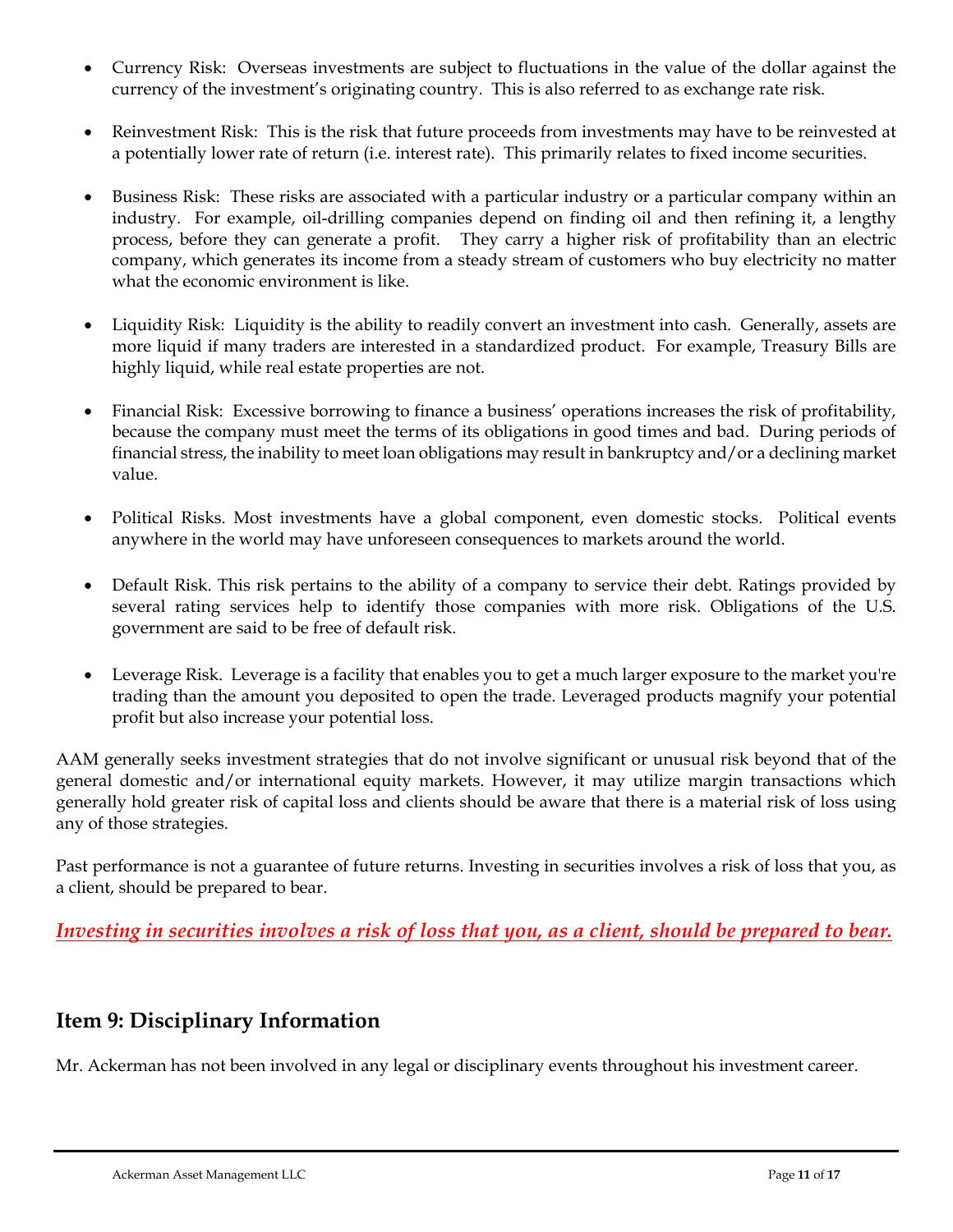- Currency Risk: Overseas investments are subject to fluctuations in the value of the dollar against the currency of the investment's originating country. This is also referred to as exchange rate risk.
- Reinvestment Risk: This is the risk that future proceeds from investments may have to be reinvested at a potentially lower rate of return (i.e. interest rate). This primarily relates to fixed income securities.
- Business Risk: These risks are associated with a particular industry or a particular company within an industry. For example, oil-drilling companies depend on finding oil and then refining it, a lengthy process, before they can generate a profit. They carry a higher risk of profitability than an electric company, which generates its income from a steady stream of customers who buy electricity no matter what the economic environment is like.
- Liquidity Risk: Liquidity is the ability to readily convert an investment into cash. Generally, assets are more liquid if many traders are interested in a standardized product. For example, Treasury Bills are highly liquid, while real estate properties are not.
- Financial Risk: Excessive borrowing to finance a business' operations increases the risk of profitability, because the company must meet the terms of its obligations in good times and bad. During periods of financial stress, the inability to meet loan obligations may result in bankruptcy and/or a declining market value.
- Political Risks. Most investments have a global component, even domestic stocks. Political events anywhere in the world may have unforeseen consequences to markets around the world.
- Default Risk. This risk pertains to the ability of a company to service their debt. Ratings provided by several rating services help to identify those companies with more risk. Obligations of the U.S. government are said to be free of default risk.
- Leverage Risk. Leverage is a facility that enables you to get a much larger exposure to the market you're trading than the amount you deposited to open the trade. Leveraged products magnify your potential profit but also increase your potential loss.

AAM generally seeks investment strategies that do not involve significant or unusual risk beyond that of the general domestic and/or international equity markets. However, it may utilize margin transactions which generally hold greater risk of capital loss and clients should be aware that there is a material risk of loss using any of those strategies.

Past performance is not a guarantee of future returns. Investing in securities involves a risk of loss that you, as a client, should be prepared to bear.

*Investing in securities involves a risk of loss that you, as a client, should be prepared to bear.*

# <span id="page-10-0"></span>**Item 9: Disciplinary Information**

Mr. Ackerman has not been involved in any legal or disciplinary events throughout his investment career.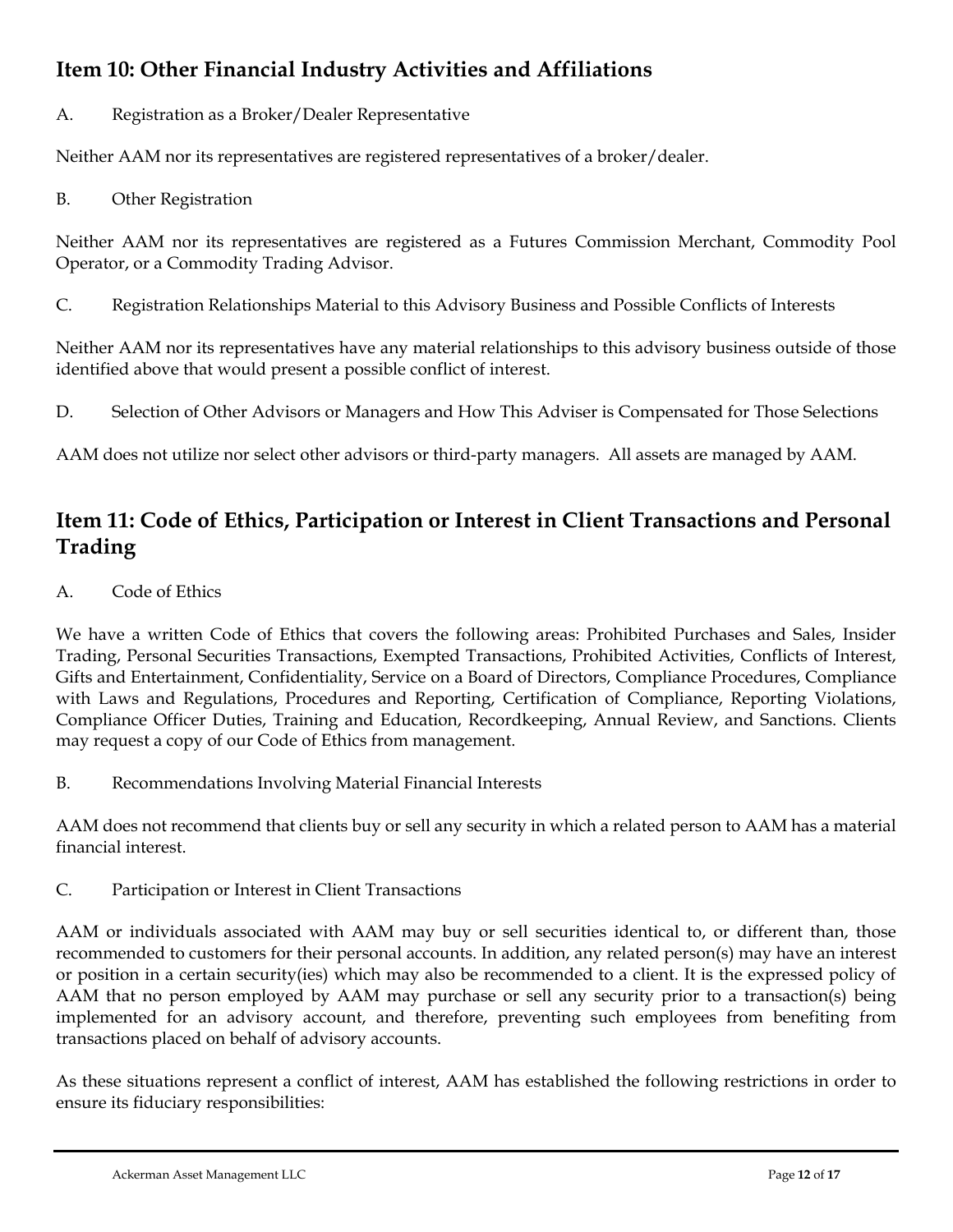# <span id="page-11-0"></span>**Item 10: Other Financial Industry Activities and Affiliations**

A. Registration as a Broker/Dealer Representative

Neither AAM nor its representatives are registered representatives of a broker/dealer.

B. Other Registration

Neither AAM nor its representatives are registered as a Futures Commission Merchant, Commodity Pool Operator, or a Commodity Trading Advisor.

C. Registration Relationships Material to this Advisory Business and Possible Conflicts of Interests

Neither AAM nor its representatives have any material relationships to this advisory business outside of those identified above that would present a possible conflict of interest.

D. Selection of Other Advisors or Managers and How This Adviser is Compensated for Those Selections

AAM does not utilize nor select other advisors or third-party managers. All assets are managed by AAM.

# <span id="page-11-1"></span>**Item 11: Code of Ethics, Participation or Interest in Client Transactions and Personal Trading**

A. Code of Ethics

We have a written Code of Ethics that covers the following areas: Prohibited Purchases and Sales, Insider Trading, Personal Securities Transactions, Exempted Transactions, Prohibited Activities, Conflicts of Interest, Gifts and Entertainment, Confidentiality, Service on a Board of Directors, Compliance Procedures, Compliance with Laws and Regulations, Procedures and Reporting, Certification of Compliance, Reporting Violations, Compliance Officer Duties, Training and Education, Recordkeeping, Annual Review, and Sanctions. Clients may request a copy of our Code of Ethics from management.

B. Recommendations Involving Material Financial Interests

AAM does not recommend that clients buy or sell any security in which a related person to AAM has a material financial interest.

C. Participation or Interest in Client Transactions

AAM or individuals associated with AAM may buy or sell securities identical to, or different than, those recommended to customers for their personal accounts. In addition, any related person(s) may have an interest or position in a certain security(ies) which may also be recommended to a client. It is the expressed policy of AAM that no person employed by AAM may purchase or sell any security prior to a transaction(s) being implemented for an advisory account, and therefore, preventing such employees from benefiting from transactions placed on behalf of advisory accounts.

As these situations represent a conflict of interest, AAM has established the following restrictions in order to ensure its fiduciary responsibilities: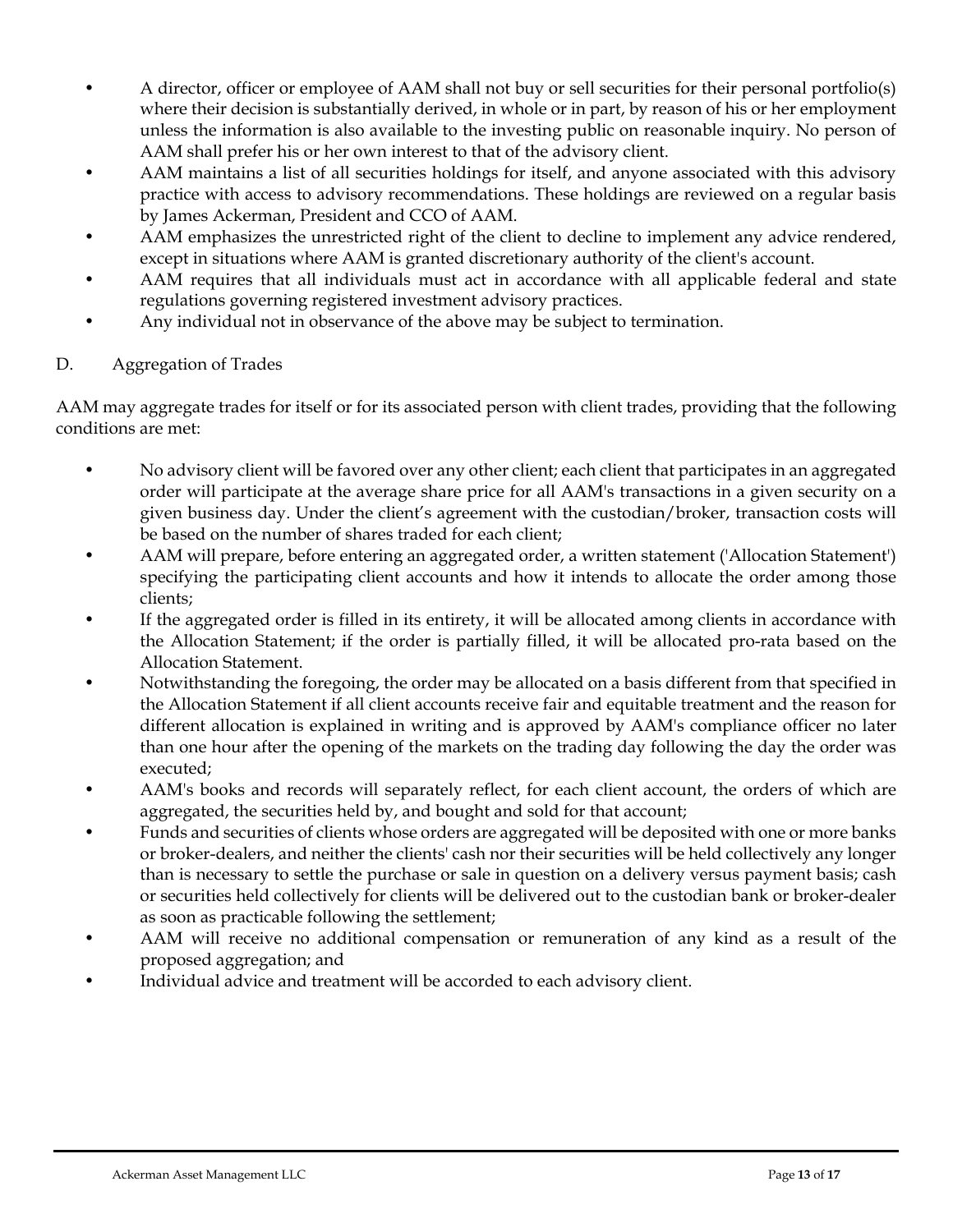- A director, officer or employee of AAM shall not buy or sell securities for their personal portfolio(s) where their decision is substantially derived, in whole or in part, by reason of his or her employment unless the information is also available to the investing public on reasonable inquiry. No person of AAM shall prefer his or her own interest to that of the advisory client.
- AAM maintains a list of all securities holdings for itself, and anyone associated with this advisory practice with access to advisory recommendations. These holdings are reviewed on a regular basis by James Ackerman, President and CCO of AAM.
- AAM emphasizes the unrestricted right of the client to decline to implement any advice rendered, except in situations where AAM is granted discretionary authority of the client's account.
- AAM requires that all individuals must act in accordance with all applicable federal and state regulations governing registered investment advisory practices.
- Any individual not in observance of the above may be subject to termination.

## D. Aggregation of Trades

AAM may aggregate trades for itself or for its associated person with client trades, providing that the following conditions are met:

- No advisory client will be favored over any other client; each client that participates in an aggregated order will participate at the average share price for all AAM's transactions in a given security on a given business day. Under the client's agreement with the custodian/broker, transaction costs will be based on the number of shares traded for each client;
- AAM will prepare, before entering an aggregated order, a written statement ('Allocation Statement') specifying the participating client accounts and how it intends to allocate the order among those clients;
- If the aggregated order is filled in its entirety, it will be allocated among clients in accordance with the Allocation Statement; if the order is partially filled, it will be allocated pro-rata based on the Allocation Statement.
- Notwithstanding the foregoing, the order may be allocated on a basis different from that specified in the Allocation Statement if all client accounts receive fair and equitable treatment and the reason for different allocation is explained in writing and is approved by AAM's compliance officer no later than one hour after the opening of the markets on the trading day following the day the order was executed;
- AAM's books and records will separately reflect, for each client account, the orders of which are aggregated, the securities held by, and bought and sold for that account;
- Funds and securities of clients whose orders are aggregated will be deposited with one or more banks or broker-dealers, and neither the clients' cash nor their securities will be held collectively any longer than is necessary to settle the purchase or sale in question on a delivery versus payment basis; cash or securities held collectively for clients will be delivered out to the custodian bank or broker-dealer as soon as practicable following the settlement;
- AAM will receive no additional compensation or remuneration of any kind as a result of the proposed aggregation; and
- Individual advice and treatment will be accorded to each advisory client.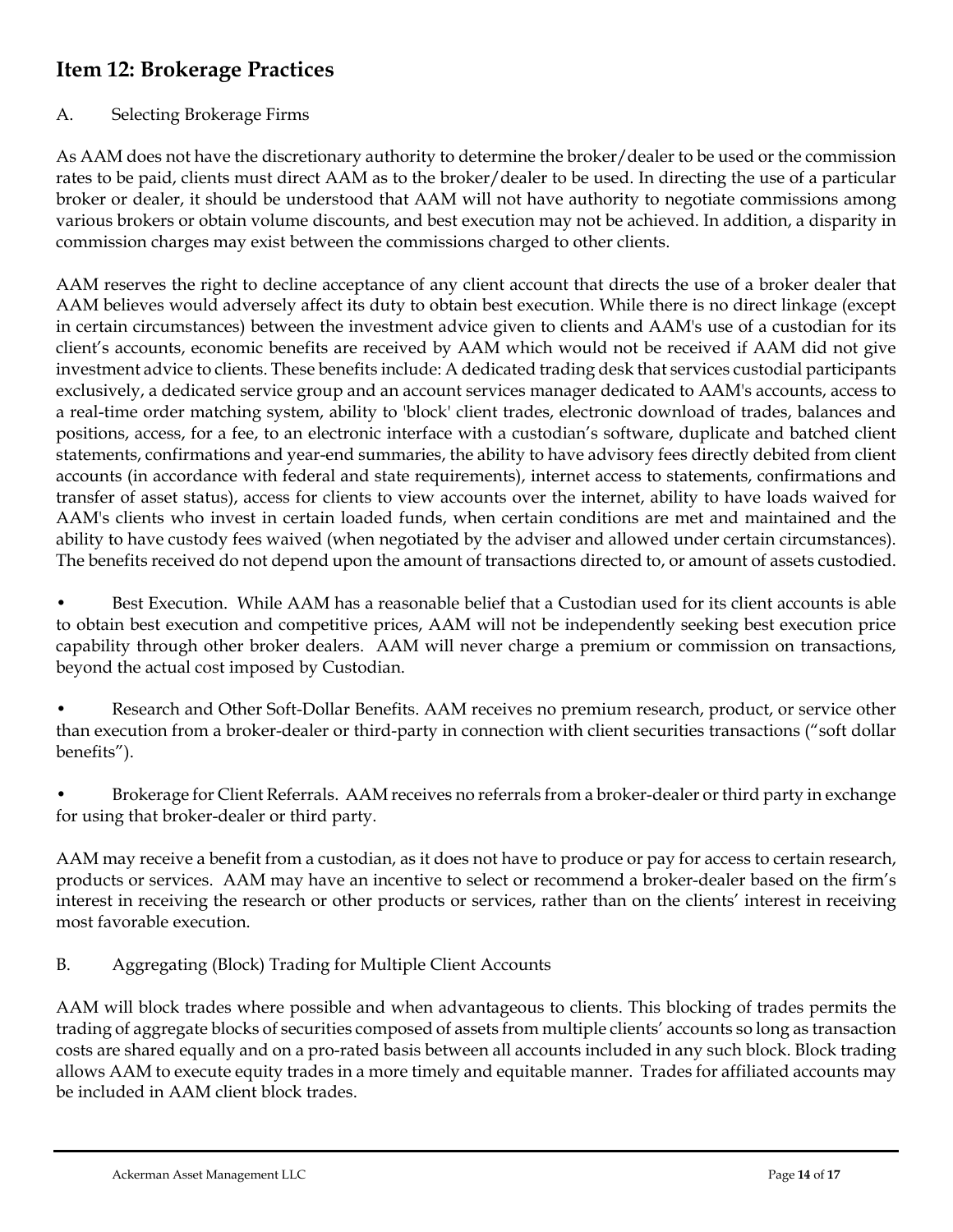# <span id="page-13-0"></span>**Item 12: Brokerage Practices**

## A. Selecting Brokerage Firms

As AAM does not have the discretionary authority to determine the broker/dealer to be used or the commission rates to be paid, clients must direct AAM as to the broker/dealer to be used. In directing the use of a particular broker or dealer, it should be understood that AAM will not have authority to negotiate commissions among various brokers or obtain volume discounts, and best execution may not be achieved. In addition, a disparity in commission charges may exist between the commissions charged to other clients.

AAM reserves the right to decline acceptance of any client account that directs the use of a broker dealer that AAM believes would adversely affect its duty to obtain best execution. While there is no direct linkage (except in certain circumstances) between the investment advice given to clients and AAM's use of a custodian for its client's accounts, economic benefits are received by AAM which would not be received if AAM did not give investment advice to clients. These benefits include: A dedicated trading desk that services custodial participants exclusively, a dedicated service group and an account services manager dedicated to AAM's accounts, access to a real-time order matching system, ability to 'block' client trades, electronic download of trades, balances and positions, access, for a fee, to an electronic interface with a custodian's software, duplicate and batched client statements, confirmations and year-end summaries, the ability to have advisory fees directly debited from client accounts (in accordance with federal and state requirements), internet access to statements, confirmations and transfer of asset status), access for clients to view accounts over the internet, ability to have loads waived for AAM's clients who invest in certain loaded funds, when certain conditions are met and maintained and the ability to have custody fees waived (when negotiated by the adviser and allowed under certain circumstances). The benefits received do not depend upon the amount of transactions directed to, or amount of assets custodied.

Best Execution. While AAM has a reasonable belief that a Custodian used for its client accounts is able to obtain best execution and competitive prices, AAM will not be independently seeking best execution price capability through other broker dealers. AAM will never charge a premium or commission on transactions, beyond the actual cost imposed by Custodian.

• Research and Other Soft-Dollar Benefits. AAM receives no premium research, product, or service other than execution from a broker-dealer or third-party in connection with client securities transactions ("soft dollar benefits").

• Brokerage for Client Referrals. AAM receives no referrals from a broker-dealer or third party in exchange for using that broker-dealer or third party.

AAM may receive a benefit from a custodian, as it does not have to produce or pay for access to certain research, products or services. AAM may have an incentive to select or recommend a broker-dealer based on the firm's interest in receiving the research or other products or services, rather than on the clients' interest in receiving most favorable execution.

B. Aggregating (Block) Trading for Multiple Client Accounts

AAM will block trades where possible and when advantageous to clients. This blocking of trades permits the trading of aggregate blocks of securities composed of assets from multiple clients' accounts so long as transaction costs are shared equally and on a pro-rated basis between all accounts included in any such block. Block trading allows AAM to execute equity trades in a more timely and equitable manner. Trades for affiliated accounts may be included in AAM client block trades.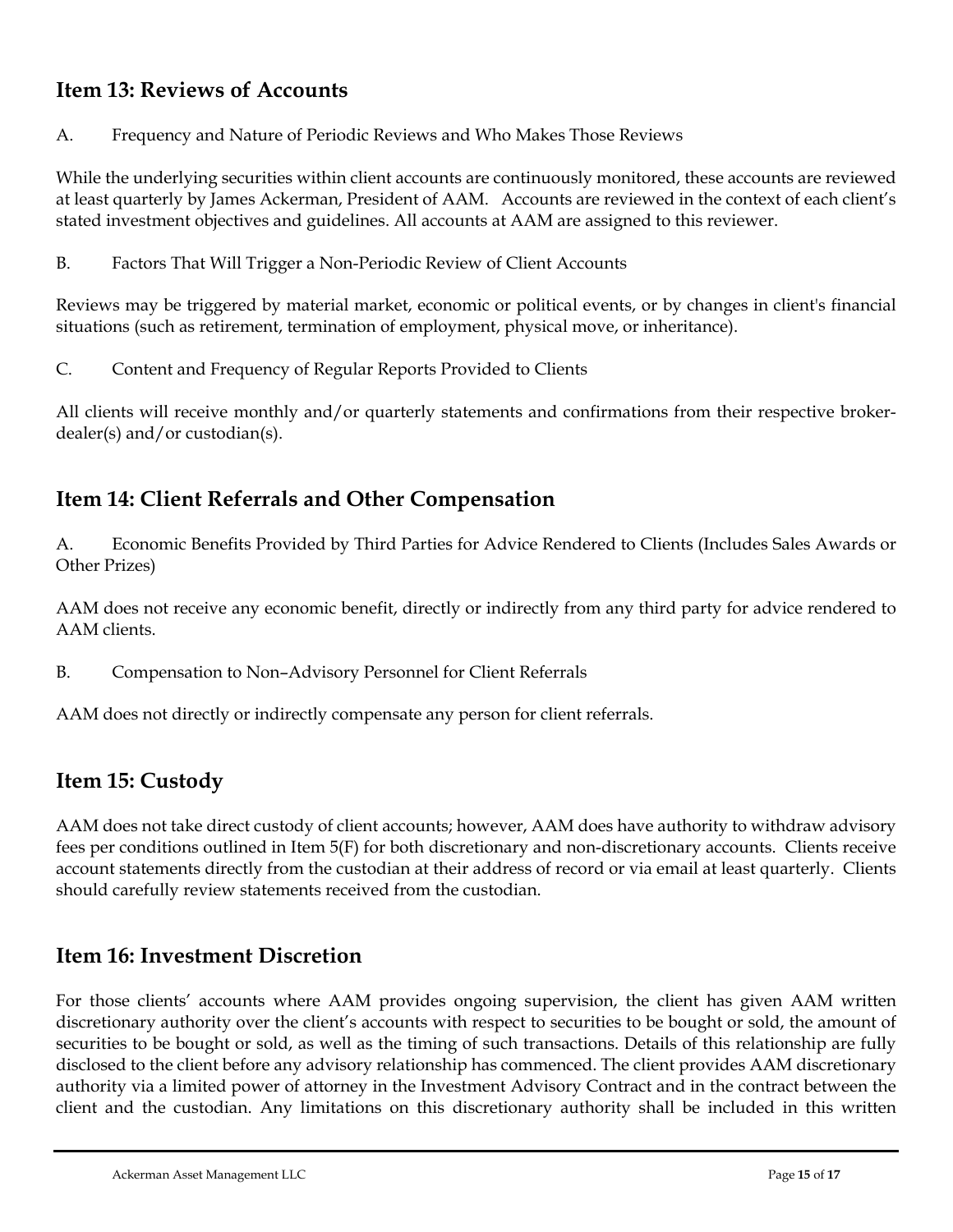# <span id="page-14-0"></span>**Item 13: Reviews of Accounts**

A. Frequency and Nature of Periodic Reviews and Who Makes Those Reviews

While the underlying securities within client accounts are continuously monitored, these accounts are reviewed at least quarterly by James Ackerman, President of AAM. Accounts are reviewed in the context of each client's stated investment objectives and guidelines. All accounts at AAM are assigned to this reviewer.

B. Factors That Will Trigger a Non-Periodic Review of Client Accounts

Reviews may be triggered by material market, economic or political events, or by changes in client's financial situations (such as retirement, termination of employment, physical move, or inheritance).

C. Content and Frequency of Regular Reports Provided to Clients

All clients will receive monthly and/or quarterly statements and confirmations from their respective brokerdealer(s) and/or custodian(s).

# <span id="page-14-1"></span>**Item 14: Client Referrals and Other Compensation**

A. Economic Benefits Provided by Third Parties for Advice Rendered to Clients (Includes Sales Awards or Other Prizes)

AAM does not receive any economic benefit, directly or indirectly from any third party for advice rendered to AAM clients.

B. Compensation to Non–Advisory Personnel for Client Referrals

AAM does not directly or indirectly compensate any person for client referrals.

# <span id="page-14-2"></span>**Item 15: Custody**

AAM does not take direct custody of client accounts; however, AAM does have authority to withdraw advisory fees per conditions outlined in Item 5(F) for both discretionary and non-discretionary accounts. Clients receive account statements directly from the custodian at their address of record or via email at least quarterly. Clients should carefully review statements received from the custodian.

# <span id="page-14-3"></span>**Item 16: Investment Discretion**

For those clients' accounts where AAM provides ongoing supervision, the client has given AAM written discretionary authority over the client's accounts with respect to securities to be bought or sold, the amount of securities to be bought or sold, as well as the timing of such transactions. Details of this relationship are fully disclosed to the client before any advisory relationship has commenced. The client provides AAM discretionary authority via a limited power of attorney in the Investment Advisory Contract and in the contract between the client and the custodian. Any limitations on this discretionary authority shall be included in this written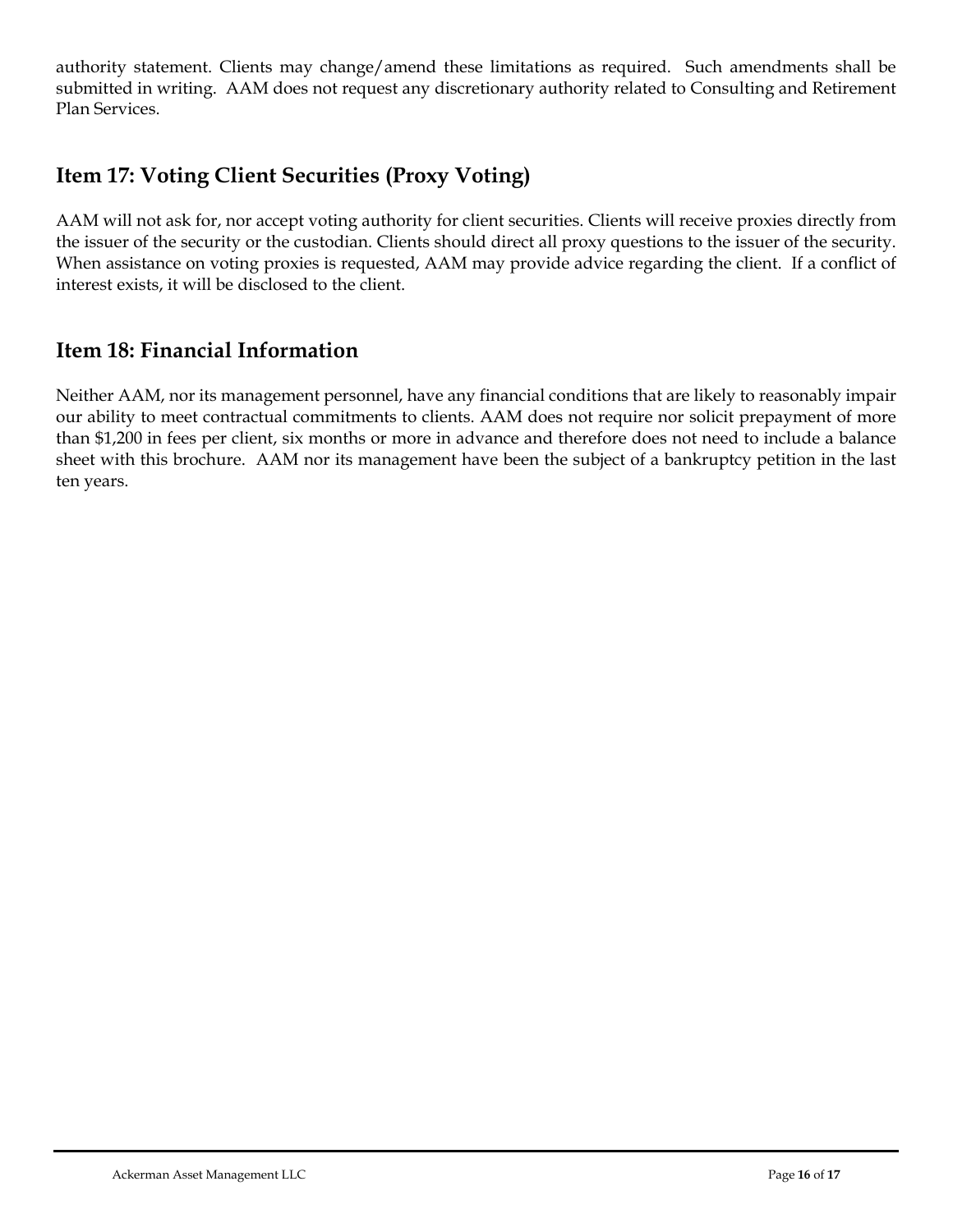authority statement. Clients may change/amend these limitations as required. Such amendments shall be submitted in writing. AAM does not request any discretionary authority related to Consulting and Retirement Plan Services.

# <span id="page-15-0"></span>**Item 17: Voting Client Securities (Proxy Voting)**

AAM will not ask for, nor accept voting authority for client securities. Clients will receive proxies directly from the issuer of the security or the custodian. Clients should direct all proxy questions to the issuer of the security. When assistance on voting proxies is requested, AAM may provide advice regarding the client. If a conflict of interest exists, it will be disclosed to the client.

# <span id="page-15-1"></span>**Item 18: Financial Information**

<span id="page-15-2"></span>Neither AAM, nor its management personnel, have any financial conditions that are likely to reasonably impair our ability to meet contractual commitments to clients. AAM does not require nor solicit prepayment of more than \$1,200 in fees per client, six months or more in advance and therefore does not need to include a balance sheet with this brochure. AAM nor its management have been the subject of a bankruptcy petition in the last ten years.